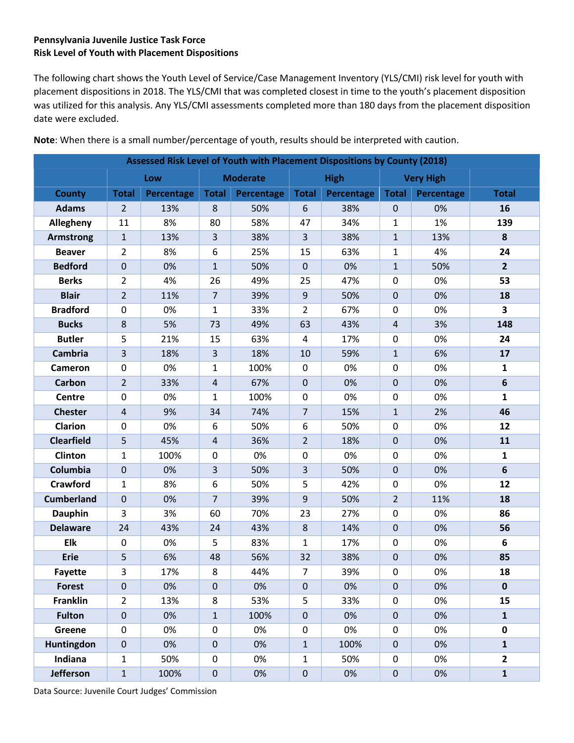## **Pennsylvania Juvenile Justice Task Force Risk Level of Youth with Placement Dispositions**

The following chart shows the Youth Level of Service/Case Management Inventory (YLS/CMI) risk level for youth with placement dispositions in 2018. The YLS/CMI that was completed closest in time to the youth's placement disposition was utilized for this analysis. Any YLS/CMI assessments completed more than 180 days from the placement disposition date were excluded.

| Assessed Risk Level of Youth with Placement Dispositions by County (2018) |                  |                   |                 |            |                  |                   |                  |                   |                         |  |  |
|---------------------------------------------------------------------------|------------------|-------------------|-----------------|------------|------------------|-------------------|------------------|-------------------|-------------------------|--|--|
|                                                                           | Low              |                   | <b>Moderate</b> |            | <b>High</b>      |                   | <b>Very High</b> |                   |                         |  |  |
| <b>County</b>                                                             | <b>Total</b>     | <b>Percentage</b> | <b>Total</b>    | Percentage | <b>Total</b>     | <b>Percentage</b> | <b>Total</b>     | <b>Percentage</b> | <b>Total</b>            |  |  |
| <b>Adams</b>                                                              | $\overline{2}$   | 13%               | 8               | 50%        | 6                | 38%               | $\mathbf 0$      | 0%                | 16                      |  |  |
| Allegheny                                                                 | 11               | 8%                | 80              | 58%        | 47               | 34%               | $\mathbf{1}$     | 1%                | 139                     |  |  |
| <b>Armstrong</b>                                                          | $\mathbf{1}$     | 13%               | $\overline{3}$  | 38%        | 3                | 38%               | $\mathbf{1}$     | 13%               | 8                       |  |  |
| <b>Beaver</b>                                                             | $\overline{2}$   | 8%                | 6               | 25%        | 15               | 63%               | $\mathbf{1}$     | 4%                | 24                      |  |  |
| <b>Bedford</b>                                                            | $\mathbf 0$      | 0%                | $\mathbf{1}$    | 50%        | $\pmb{0}$        | 0%                | $\mathbf{1}$     | 50%               | $\overline{2}$          |  |  |
| <b>Berks</b>                                                              | $\overline{2}$   | 4%                | 26              | 49%        | 25               | 47%               | $\mathbf 0$      | 0%                | 53                      |  |  |
| <b>Blair</b>                                                              | $\overline{2}$   | 11%               | $\overline{7}$  | 39%        | $\boldsymbol{9}$ | 50%               | $\mathbf{0}$     | 0%                | 18                      |  |  |
| <b>Bradford</b>                                                           | $\mathbf 0$      | 0%                | $\mathbf{1}$    | 33%        | $\overline{2}$   | 67%               | 0                | 0%                | $\overline{\mathbf{3}}$ |  |  |
| <b>Bucks</b>                                                              | 8                | 5%                | 73              | 49%        | 63               | 43%               | $\overline{4}$   | 3%                | 148                     |  |  |
| <b>Butler</b>                                                             | 5                | 21%               | 15              | 63%        | 4                | 17%               | $\pmb{0}$        | 0%                | 24                      |  |  |
| <b>Cambria</b>                                                            | $\overline{3}$   | 18%               | 3               | 18%        | 10               | 59%               | $\mathbf{1}$     | 6%                | 17                      |  |  |
| Cameron                                                                   | $\mathbf 0$      | 0%                | $\mathbf{1}$    | 100%       | $\pmb{0}$        | 0%                | 0                | 0%                | $\mathbf{1}$            |  |  |
| <b>Carbon</b>                                                             | $\overline{2}$   | 33%               | $\overline{4}$  | 67%        | $\pmb{0}$        | 0%                | $\mathbf 0$      | 0%                | $6\phantom{1}$          |  |  |
| <b>Centre</b>                                                             | $\mathbf 0$      | 0%                | 1               | 100%       | 0                | 0%                | 0                | 0%                | $\mathbf{1}$            |  |  |
| <b>Chester</b>                                                            | $\overline{4}$   | 9%                | 34              | 74%        | $\overline{7}$   | 15%               | $\mathbf{1}$     | 2%                | 46                      |  |  |
| <b>Clarion</b>                                                            | $\pmb{0}$        | 0%                | 6               | 50%        | 6                | 50%               | 0                | 0%                | 12                      |  |  |
| <b>Clearfield</b>                                                         | 5                | 45%               | $\overline{4}$  | 36%        | $\overline{2}$   | 18%               | $\mathbf 0$      | 0%                | 11                      |  |  |
| Clinton                                                                   | $\mathbf{1}$     | 100%              | 0               | 0%         | $\pmb{0}$        | 0%                | 0                | 0%                | $\mathbf{1}$            |  |  |
| Columbia                                                                  | $\mathbf 0$      | 0%                | $\overline{3}$  | 50%        | 3                | 50%               | $\mathbf 0$      | 0%                | $6\phantom{1}$          |  |  |
| <b>Crawford</b>                                                           | $\mathbf{1}$     | 8%                | 6               | 50%        | 5                | 42%               | $\mathbf 0$      | 0%                | 12                      |  |  |
| <b>Cumberland</b>                                                         | $\mathbf 0$      | 0%                | $\overline{7}$  | 39%        | $\boldsymbol{9}$ | 50%               | $\overline{2}$   | 11%               | 18                      |  |  |
| <b>Dauphin</b>                                                            | 3                | 3%                | 60              | 70%        | 23               | 27%               | $\pmb{0}$        | 0%                | 86                      |  |  |
| <b>Delaware</b>                                                           | 24               | 43%               | 24              | 43%        | $\,8\,$          | 14%               | $\pmb{0}$        | 0%                | 56                      |  |  |
| Elk                                                                       | $\mathbf 0$      | 0%                | 5               | 83%        | $\mathbf{1}$     | 17%               | 0                | 0%                | 6                       |  |  |
| <b>Erie</b>                                                               | 5                | 6%                | 48              | 56%        | 32               | 38%               | $\pmb{0}$        | 0%                | 85                      |  |  |
| <b>Fayette</b>                                                            | 3                | 17%               | 8               | 44%        | 7                | 39%               | 0                | 0%                | 18                      |  |  |
| <b>Forest</b>                                                             | $\mathbf 0$      | 0%                | $\mathbf 0$     | 0%         | $\pmb{0}$        | 0%                | 0                | 0%                | $\mathbf 0$             |  |  |
| <b>Franklin</b>                                                           | $\overline{2}$   | 13%               | 8               | 53%        | 5                | 33%               | 0                | 0%                | 15                      |  |  |
| <b>Fulton</b>                                                             | $\boldsymbol{0}$ | 0%                | $\mathbf{1}$    | 100%       | $\pmb{0}$        | 0%                | 0                | 0%                | $\mathbf 1$             |  |  |
| Greene                                                                    | $\mathbf 0$      | 0%                | 0               | 0%         | $\pmb{0}$        | 0%                | $\pmb{0}$        | 0%                | $\pmb{0}$               |  |  |
| Huntingdon                                                                | $\mathbf 0$      | 0%                | $\pmb{0}$       | 0%         | $\mathbf 1$      | 100%              | $\boldsymbol{0}$ | 0%                | $\mathbf{1}$            |  |  |
| Indiana                                                                   | 1                | 50%               | 0               | 0%         | $\mathbf 1$      | 50%               | $\pmb{0}$        | 0%                | $\overline{2}$          |  |  |
| <b>Jefferson</b>                                                          | $\mathbf{1}$     | 100%              | $\pmb{0}$       | 0%         | $\pmb{0}$        | 0%                | 0                | 0%                | $\mathbf 1$             |  |  |

**Note**: When there is a small number/percentage of youth, results should be interpreted with caution.

Data Source: Juvenile Court Judges' Commission